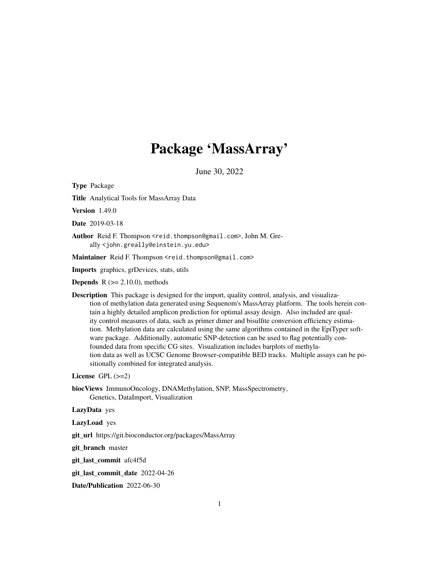## Package 'MassArray'

June 30, 2022

<span id="page-0-0"></span>Type Package

Title Analytical Tools for MassArray Data

Version 1.49.0

Date 2019-03-18

Author Reid F. Thompson <reid.thompson@gmail.com>, John M. Greally <john.greally@einstein.yu.edu>

Maintainer Reid F. Thompson <reid.thompson@gmail.com>

Imports graphics, grDevices, stats, utils

**Depends** R  $(>= 2.10.0)$ , methods

Description This package is designed for the import, quality control, analysis, and visualization of methylation data generated using Sequenom's MassArray platform. The tools herein contain a highly detailed amplicon prediction for optimal assay design. Also included are quality control measures of data, such as primer dimer and bisulfite conversion efficiency estimation. Methylation data are calculated using the same algorithms contained in the EpiTyper software package. Additionally, automatic SNP-detection can be used to flag potentially confounded data from specific CG sites. Visualization includes barplots of methylation data as well as UCSC Genome Browser-compatible BED tracks. Multiple assays can be positionally combined for integrated analysis.

License  $GPL$  ( $>=2$ )

biocViews ImmunoOncology, DNAMethylation, SNP, MassSpectrometry, Genetics, DataImport, Visualization

LazyData yes

LazyLoad yes

git\_url https://git.bioconductor.org/packages/MassArray

git\_branch master

git\_last\_commit afc4f5d

git\_last\_commit\_date 2022-04-26

Date/Publication 2022-06-30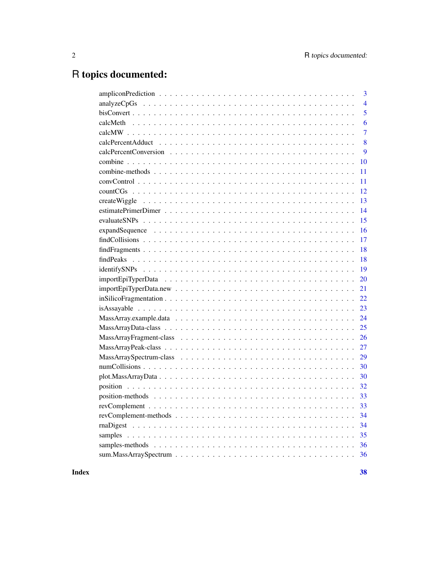## R topics documented:

|    | 3              |
|----|----------------|
|    | $\overline{4}$ |
|    | 5              |
|    | 6              |
|    | 7              |
|    | 8              |
|    | 9              |
| 10 |                |
| 11 |                |
| 11 |                |
| 12 |                |
| 13 |                |
| 14 |                |
| 15 |                |
| 16 |                |
| 17 |                |
| 18 |                |
| 18 |                |
| 19 |                |
| 20 |                |
| 21 |                |
| 22 |                |
| 23 |                |
| 24 |                |
| 25 |                |
| 26 |                |
| 27 |                |
| 29 |                |
| 30 |                |
| 30 |                |
| 32 |                |
| 33 |                |
| 33 |                |
| 34 |                |
| 34 |                |
|    |                |
| 36 |                |
|    |                |
|    |                |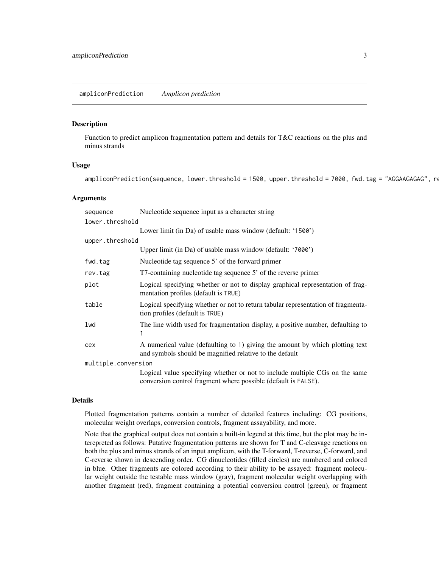<span id="page-2-0"></span>ampliconPrediction *Amplicon prediction*

## Description

Function to predict amplicon fragmentation pattern and details for T&C reactions on the plus and minus strands

## Usage

ampliconPrediction(sequence, lower.threshold = 1500, upper.threshold = 7000, fwd.tag = "AGGAAGAGAG", re

#### Arguments

| sequence            | Nucleotide sequence input as a character string                                                                                               |  |
|---------------------|-----------------------------------------------------------------------------------------------------------------------------------------------|--|
| lower.threshold     |                                                                                                                                               |  |
|                     | Lower limit (in Da) of usable mass window (default: '1500')                                                                                   |  |
| upper.threshold     |                                                                                                                                               |  |
|                     | Upper limit (in Da) of usable mass window (default: '7000')                                                                                   |  |
| fwd.tag             | Nucleotide tag sequence 5' of the forward primer                                                                                              |  |
| rev.tag             | T7-containing nucleotide tag sequence 5' of the reverse primer                                                                                |  |
| plot                | Logical specifying whether or not to display graphical representation of frag-<br>mentation profiles (default is TRUE)                        |  |
| table               | Logical specifying whether or not to return tabular representation of fragmenta-<br>tion profiles (default is TRUE)                           |  |
| lwd                 | The line width used for fragmentation display, a positive number, defaulting to<br>1                                                          |  |
| cex                 | A numerical value (defaulting to 1) giving the amount by which plotting text<br>and symbols should be magnified relative to the default       |  |
| multiple.conversion |                                                                                                                                               |  |
|                     | Logical value specifying whether or not to include multiple CGs on the same<br>conversion control fragment where possible (default is FALSE). |  |

## Details

Plotted fragmentation patterns contain a number of detailed features including: CG positions, molecular weight overlaps, conversion controls, fragment assayability, and more.

Note that the graphical output does not contain a built-in legend at this time, but the plot may be interepreted as follows: Putative fragmentation patterns are shown for T and C-cleavage reactions on both the plus and minus strands of an input amplicon, with the T-forward, T-reverse, C-forward, and C-reverse shown in descending order. CG dinucleotides (filled circles) are numbered and colored in blue. Other fragments are colored according to their ability to be assayed: fragment molecular weight outside the testable mass window (gray), fragment molecular weight overlapping with another fragment (red), fragment containing a potential conversion control (green), or fragment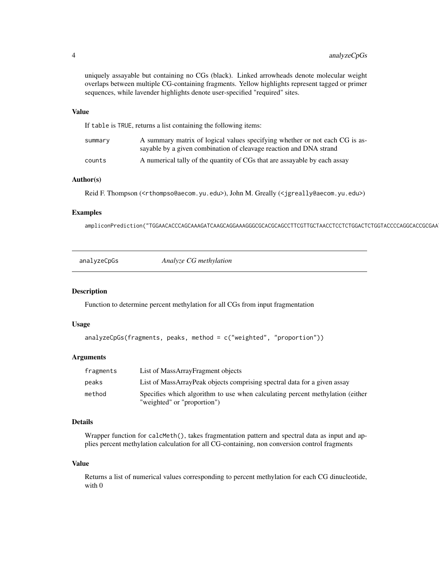<span id="page-3-0"></span>uniquely assayable but containing no CGs (black). Linked arrowheads denote molecular weight overlaps between multiple CG-containing fragments. Yellow highlights represent tagged or primer sequences, while lavender highlights denote user-specified "required" sites.

#### Value

If table is TRUE, returns a list containing the following items:

| summary | A summary matrix of logical values specifying whether or not each CG is as- |
|---------|-----------------------------------------------------------------------------|
|         | sayable by a given combination of cleavage reaction and DNA strand          |
| counts  | A numerical tally of the quantity of CGs that are assayable by each assay   |

#### Author(s)

Reid F. Thompson (<rthompso@aecom.yu.edu>), John M. Greally (<jgreally@aecom.yu.edu>)

## Examples

ampliconPrediction("TGGAACACCCAGCAAAGATCAAGCAGGAAAGGGCGCACGCAGCCTTCGTTGCTAACCTCCTCTGGACTCTGGTACCCCAGGCACCGCGAATGCTCCCCACCTCAGCCCCCTGACCTTTACCATCGCTGAAGCGGGCGTCGCTGATGTCTGCGGCGAGCCTGCCGACCAGCCCAGCTGCCCAGAGGAGCAGCCAGGCAAGGGCGCTGGCAGCCAGGACGCCGGAGCCCGACGCCCGAGAGGGGCGCGCGGAGCAAGCTGCGGTCACGGGAGGAACCTGAGCACGCAGAGCGTACCCCCACCTTCCACGGTGACCCGGACAGAACGCTCCTTGCGCTCCCACCCTAGGACCCCCTGTAACTCCAGGTTCCTGAGA")

|--|

## Description

Function to determine percent methylation for all CGs from input fragmentation

## Usage

```
analyzeCpGs(fragments, peaks, method = c("weighted", "proportion"))
```
#### Arguments

| fragments | List of MassArrayFragment objects                                                                            |
|-----------|--------------------------------------------------------------------------------------------------------------|
| peaks     | List of MassArrayPeak objects comprising spectral data for a given assay                                     |
| method    | Specifies which algorithm to use when calculating percent methylation (either<br>"weighted" or "proportion") |

## Details

Wrapper function for calcMeth(), takes fragmentation pattern and spectral data as input and applies percent methylation calculation for all CG-containing, non conversion control fragments

#### Value

Returns a list of numerical values corresponding to percent methylation for each CG dinucleotide, with 0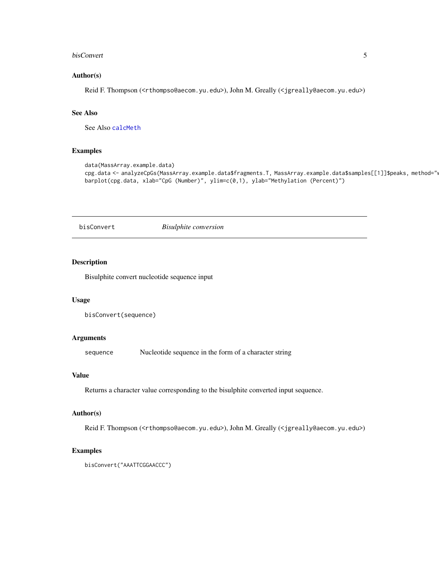#### <span id="page-4-0"></span>bisConvert 5

#### Author(s)

Reid F. Thompson (<rthompso@aecom.yu.edu>), John M. Greally (<jgreally@aecom.yu.edu>)

#### See Also

See Also [calcMeth](#page-5-1)

## Examples

```
data(MassArray.example.data)
cpg.data <- analyzeCpGs(MassArray.example.data$fragments.T, MassArray.example.data$samples[[1]]$peaks, method="w
barplot(cpg.data, xlab="CpG (Number)", ylim=c(0,1), ylab="Methylation (Percent)")
```
bisConvert *Bisulphite conversion*

## Description

Bisulphite convert nucleotide sequence input

## Usage

```
bisConvert(sequence)
```
## Arguments

sequence Nucleotide sequence in the form of a character string

## Value

Returns a character value corresponding to the bisulphite converted input sequence.

#### Author(s)

Reid F. Thompson (<rthompso@aecom.yu.edu>), John M. Greally (<jgreally@aecom.yu.edu>)

```
bisConvert("AAATTCGGAACCC")
```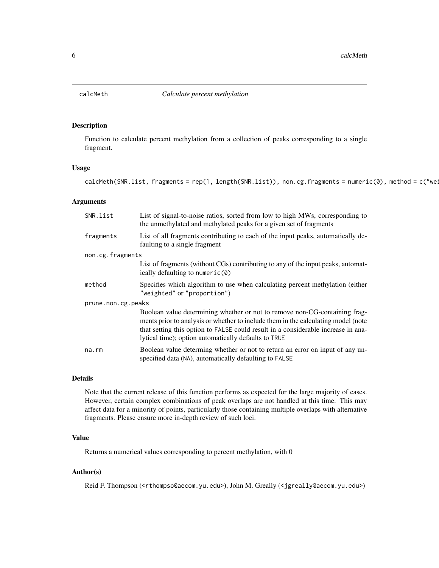## Description

Function to calculate percent methylation from a collection of peaks corresponding to a single fragment.

#### Usage

calcMeth(SNR.list, fragments = rep(1, length(SNR.list)), non.cg.fragments = numeric(0), method = c("we:

## Arguments

| SNR.list           | List of signal-to-noise ratios, sorted from low to high MWs, corresponding to<br>the unmethylated and methylated peaks for a given set of fragments                                                                                                                                                          |
|--------------------|--------------------------------------------------------------------------------------------------------------------------------------------------------------------------------------------------------------------------------------------------------------------------------------------------------------|
| fragments          | List of all fragments contributing to each of the input peaks, automatically de-<br>faulting to a single fragment                                                                                                                                                                                            |
| non.cg.fragments   |                                                                                                                                                                                                                                                                                                              |
|                    | List of fragments (without CGs) contributing to any of the input peaks, automat-<br>ically defaulting to numeric(0)                                                                                                                                                                                          |
| method             | Specifies which algorithm to use when calculating percent methylation (either<br>"weighted" or "proportion")                                                                                                                                                                                                 |
| prune.non.cg.peaks |                                                                                                                                                                                                                                                                                                              |
|                    | Boolean value determining whether or not to remove non-CG-containing frag-<br>ments prior to analysis or whether to include them in the calculating model (note<br>that setting this option to FALSE could result in a considerable increase in ana-<br>lytical time); option automatically defaults to TRUE |
| na.rm              | Boolean value determing whether or not to return an error on input of any un-<br>specified data (NA), automatically defaulting to FALSE                                                                                                                                                                      |

## Details

Note that the current release of this function performs as expected for the large majority of cases. However, certain complex combinations of peak overlaps are not handled at this time. This may affect data for a minority of points, particularly those containing multiple overlaps with alternative fragments. Please ensure more in-depth review of such loci.

## Value

Returns a numerical values corresponding to percent methylation, with 0

## Author(s)

Reid F. Thompson (<rthompso@aecom.yu.edu>), John M. Greally (<jgreally@aecom.yu.edu>)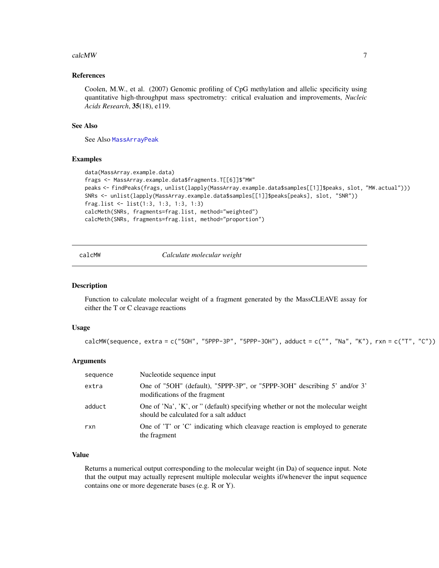#### <span id="page-6-0"></span>calcMW  $\sim$  7

## References

Coolen, M.W., et al. (2007) Genomic profiling of CpG methylation and allelic specificity using quantitative high-throughput mass spectrometry: critical evaluation and improvements, *Nucleic Acids Research*, 35(18), e119.

## See Also

See Also [MassArrayPeak](#page-26-1)

#### Examples

```
data(MassArray.example.data)
frags <- MassArray.example.data$fragments.T[[6]]$"MW"
peaks <- findPeaks(frags, unlist(lapply(MassArray.example.data$samples[[1]]$peaks, slot, "MW.actual")))
SNRs <- unlist(lapply(MassArray.example.data$samples[[1]]$peaks[peaks], slot, "SNR"))
frag.list <- list(1:3, 1:3, 1:3, 1:3)
calcMeth(SNRs, fragments=frag.list, method="weighted")
calcMeth(SNRs, fragments=frag.list, method="proportion")
```
calcMW *Calculate molecular weight*

#### Description

Function to calculate molecular weight of a fragment generated by the MassCLEAVE assay for either the T or C cleavage reactions

#### Usage

```
calcMW(sequence, extra = c("50H", "5PPP-3P", "5PPP-30H"), adduct = c("", "Na", "K"), rxn = c("T", "C"))
```
#### Arguments

| sequence | Nucleotide sequence input                                                                                                 |
|----------|---------------------------------------------------------------------------------------------------------------------------|
| extra    | One of "5OH" (default), "5PPP-3P", or "5PPP-3OH" describing 5' and/or 3'<br>modifications of the fragment                 |
| adduct   | One of 'Na', 'K', or " (default) specifying whether or not the molecular weight<br>should be calculated for a salt adduct |
| rxn      | One of 'T' or 'C' indicating which cleavage reaction is employed to generate<br>the fragment                              |

## Value

Returns a numerical output corresponding to the molecular weight (in Da) of sequence input. Note that the output may actually represent multiple molecular weights if/whenever the input sequence contains one or more degenerate bases (e.g. R or Y).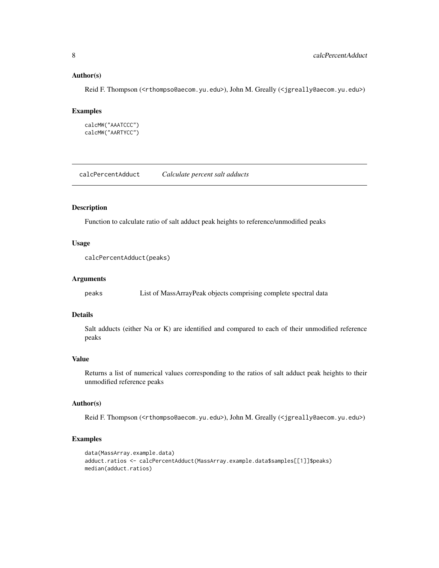## Author(s)

Reid F. Thompson (<rthompso@aecom.yu.edu>), John M. Greally (<jgreally@aecom.yu.edu>)

## Examples

```
calcMW("AAATCCC")
calcMW("AARTYCC")
```
calcPercentAdduct *Calculate percent salt adducts*

## Description

Function to calculate ratio of salt adduct peak heights to reference/unmodified peaks

## Usage

```
calcPercentAdduct(peaks)
```
## Arguments

peaks List of MassArrayPeak objects comprising complete spectral data

## Details

Salt adducts (either Na or K) are identified and compared to each of their unmodified reference peaks

## Value

Returns a list of numerical values corresponding to the ratios of salt adduct peak heights to their unmodified reference peaks

#### Author(s)

Reid F. Thompson (<rthompso@aecom.yu.edu>), John M. Greally (<jgreally@aecom.yu.edu>)

```
data(MassArray.example.data)
adduct.ratios <- calcPercentAdduct(MassArray.example.data$samples[[1]]$peaks)
median(adduct.ratios)
```
<span id="page-7-0"></span>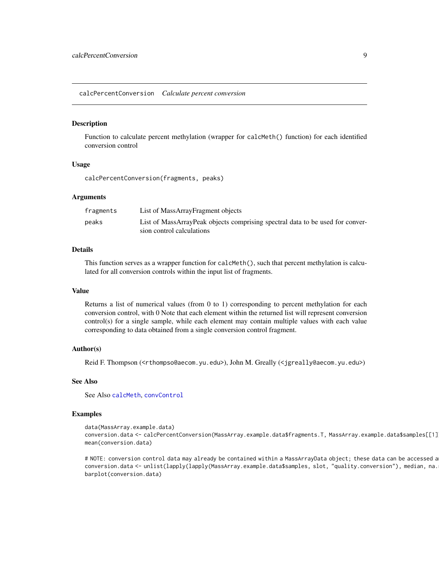<span id="page-8-0"></span>calcPercentConversion *Calculate percent conversion*

#### Description

Function to calculate percent methylation (wrapper for calcMeth() function) for each identified conversion control

#### Usage

calcPercentConversion(fragments, peaks)

## Arguments

| fragments | List of MassArrayFragment objects                                             |
|-----------|-------------------------------------------------------------------------------|
| peaks     | List of MassArrayPeak objects comprising spectral data to be used for conver- |
|           | sion control calculations                                                     |

## Details

This function serves as a wrapper function for calcMeth(), such that percent methylation is calculated for all conversion controls within the input list of fragments.

#### Value

Returns a list of numerical values (from 0 to 1) corresponding to percent methylation for each conversion control, with 0 Note that each element within the returned list will represent conversion control(s) for a single sample, while each element may contain multiple values with each value corresponding to data obtained from a single conversion control fragment.

#### Author(s)

Reid F. Thompson (<rthompso@aecom.yu.edu>), John M. Greally (<jgreally@aecom.yu.edu>)

#### See Also

See Also [calcMeth](#page-5-1), [convControl](#page-10-1)

## Examples

```
data(MassArray.example.data)
conversion.data <- calcPercentConversion(MassArray.example.data$fragments.T, MassArray.example.data$samples[[1]
mean(conversion.data)
```
# NOTE: conversion control data may already be contained within a MassArrayData object; these data can be accessed a conversion.data <- unlist(lapply(lapply(MassArray.example.data\$samples, slot, "quality.conversion"), median, na. barplot(conversion.data)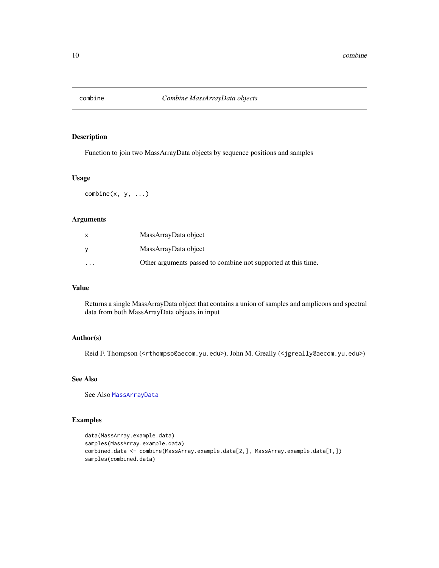<span id="page-9-1"></span><span id="page-9-0"></span>

## Description

Function to join two MassArrayData objects by sequence positions and samples

## Usage

 $combine(x, y, ...)$ 

## Arguments

|                         | MassArrayData object                                          |
|-------------------------|---------------------------------------------------------------|
|                         | MassArrayData object                                          |
| $\cdot$ $\cdot$ $\cdot$ | Other arguments passed to combine not supported at this time. |

## Value

Returns a single MassArrayData object that contains a union of samples and amplicons and spectral data from both MassArrayData objects in input

## Author(s)

Reid F. Thompson (<rthompso@aecom.yu.edu>), John M. Greally (<jgreally@aecom.yu.edu>)

## See Also

See Also [MassArrayData](#page-24-1)

```
data(MassArray.example.data)
samples(MassArray.example.data)
combined.data <- combine(MassArray.example.data[2,], MassArray.example.data[1,])
samples(combined.data)
```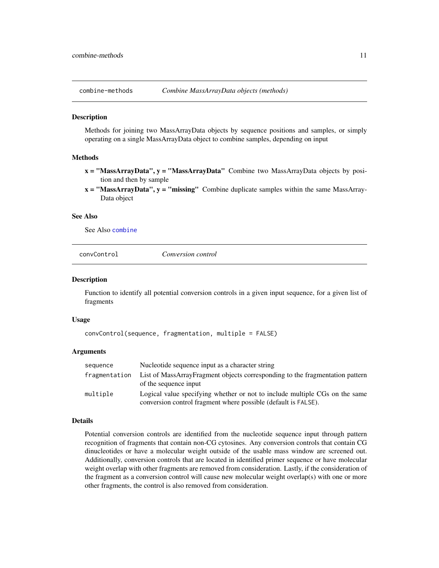<span id="page-10-0"></span>

#### **Description**

Methods for joining two MassArrayData objects by sequence positions and samples, or simply operating on a single MassArrayData object to combine samples, depending on input

## Methods

- $x = "MassArrayData", y = "MassArrayData"$  Combine two MassArrayData objects by position and then by sample
- $x =$  "MassArrayData",  $y =$  "missing" Combine duplicate samples within the same MassArray-Data object

## See Also

See Also [combine](#page-9-1)

<span id="page-10-1"></span>

|--|

## **Description**

Function to identify all potential conversion controls in a given input sequence, for a given list of fragments

#### Usage

```
convControl(sequence, fragmentation, multiple = FALSE)
```
## Arguments

| sequence      | Nucleotide sequence input as a character string                                                                                               |
|---------------|-----------------------------------------------------------------------------------------------------------------------------------------------|
| fragmentation | List of MassArrayFragment objects corresponding to the fragmentation pattern<br>of the sequence input                                         |
| multiple      | Logical value specifying whether or not to include multiple CGs on the same<br>conversion control fragment where possible (default is FALSE). |

#### Details

Potential conversion controls are identified from the nucleotide sequence input through pattern recognition of fragments that contain non-CG cytosines. Any conversion controls that contain CG dinucleotides or have a molecular weight outside of the usable mass window are screened out. Additionally, conversion controls that are located in identified primer sequence or have molecular weight overlap with other fragments are removed from consideration. Lastly, if the consideration of the fragment as a conversion control will cause new molecular weight overlap(s) with one or more other fragments, the control is also removed from consideration.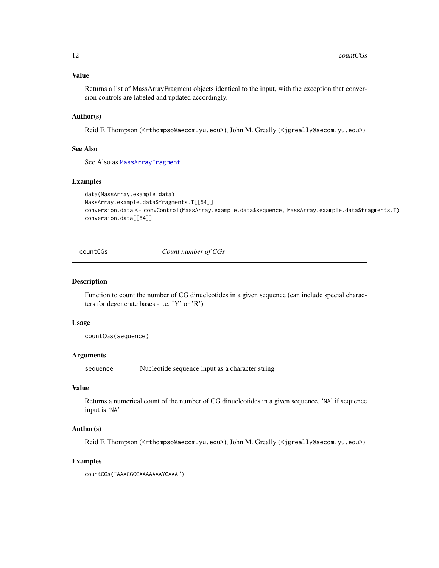## <span id="page-11-0"></span>Value

Returns a list of MassArrayFragment objects identical to the input, with the exception that conversion controls are labeled and updated accordingly.

## Author(s)

Reid F. Thompson (<rthompso@aecom.yu.edu>), John M. Greally (<jgreally@aecom.yu.edu>)

## See Also

See Also as [MassArrayFragment](#page-25-1)

#### Examples

```
data(MassArray.example.data)
MassArray.example.data$fragments.T[[54]]
conversion.data <- convControl(MassArray.example.data$sequence, MassArray.example.data$fragments.T)
conversion.data[[54]]
```
countCGs *Count number of CGs*

#### Description

Function to count the number of CG dinucleotides in a given sequence (can include special characters for degenerate bases - i.e. 'Y' or 'R')

## Usage

countCGs(sequence)

#### Arguments

sequence Nucleotide sequence input as a character string

#### Value

Returns a numerical count of the number of CG dinucleotides in a given sequence, 'NA' if sequence input is 'NA'

## Author(s)

Reid F. Thompson (<rthompso@aecom.yu.edu>), John M. Greally (<jgreally@aecom.yu.edu>)

## Examples

countCGs("AAACGCGAAAAAAAYGAAA")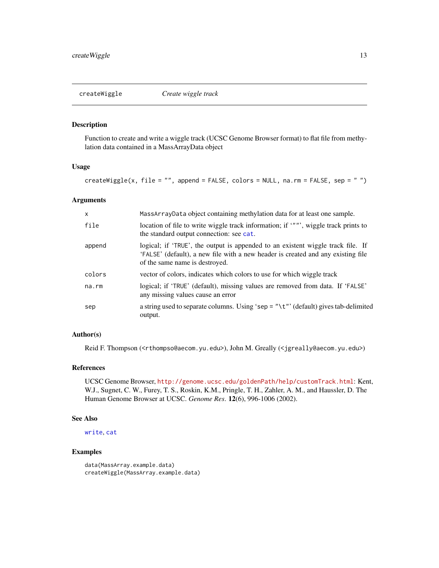<span id="page-12-0"></span>

## Description

Function to create and write a wiggle track (UCSC Genome Browser format) to flat file from methylation data contained in a MassArrayData object

## Usage

createWiggle(x, file = "", append = FALSE, colors = NULL, na.rm = FALSE, sep = " ")

#### Arguments

| X           | MassArrayData object containing methylation data for at least one sample.                                                                                                                             |
|-------------|-------------------------------------------------------------------------------------------------------------------------------------------------------------------------------------------------------|
| file        | location of file to write wiggle track information; if """, wiggle track prints to<br>the standard output connection: see cat.                                                                        |
| append      | logical; if 'TRUE', the output is appended to an existent wiggle track file. If<br>'FALSE' (default), a new file with a new header is created and any existing file<br>of the same name is destroyed. |
| colors      | vector of colors, indicates which colors to use for which wiggle track                                                                                                                                |
| $na$ . $rm$ | logical; if 'TRUE' (default), missing values are removed from data. If 'FALSE'<br>any missing values cause an error                                                                                   |
| sep         | a string used to separate columns. Using 'sep = "\t"' (default) gives tab-delimited<br>output.                                                                                                        |

## Author(s)

Reid F. Thompson (<rthompso@aecom.yu.edu>), John M. Greally (<jgreally@aecom.yu.edu>)

## References

UCSC Genome Browser, <http://genome.ucsc.edu/goldenPath/help/customTrack.html>: Kent, W.J., Sugnet, C. W., Furey, T. S., Roskin, K.M., Pringle, T. H., Zahler, A. M., and Haussler, D. The Human Genome Browser at UCSC. *Genome Res*. 12(6), 996-1006 (2002).

#### See Also

[write](#page-0-0), [cat](#page-0-0)

```
data(MassArray.example.data)
createWiggle(MassArray.example.data)
```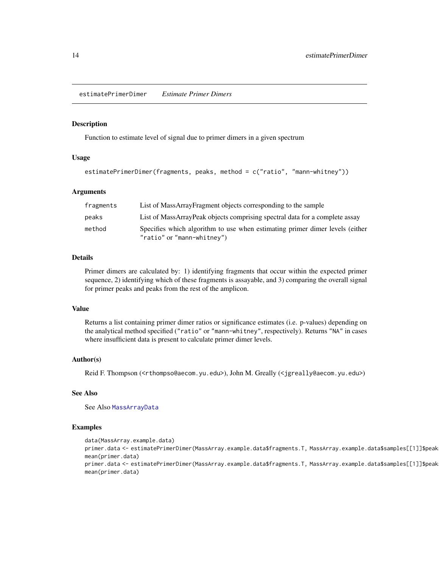<span id="page-13-0"></span>estimatePrimerDimer *Estimate Primer Dimers*

#### Description

Function to estimate level of signal due to primer dimers in a given spectrum

## Usage

```
estimatePrimerDimer(fragments, peaks, method = c("ratio", "mann-whitney"))
```
#### Arguments

| fragments | List of MassArrayFragment objects corresponding to the sample                                              |
|-----------|------------------------------------------------------------------------------------------------------------|
| peaks     | List of MassArrayPeak objects comprising spectral data for a complete assay                                |
| method    | Specifies which algorithm to use when estimating primer dimer levels (either<br>"ratio" or "mann-whitney") |

#### Details

Primer dimers are calculated by: 1) identifying fragments that occur within the expected primer sequence, 2) identifying which of these fragments is assayable, and 3) comparing the overall signal for primer peaks and peaks from the rest of the amplicon.

## Value

Returns a list containing primer dimer ratios or significance estimates (i.e. p-values) depending on the analytical method specified ("ratio" or "mann-whitney", respectively). Returns "NA" in cases where insufficient data is present to calculate primer dimer levels.

## Author(s)

Reid F. Thompson (<rthompso@aecom.yu.edu>), John M. Greally (<jgreally@aecom.yu.edu>)

## See Also

See Also [MassArrayData](#page-24-1)

#### Examples

data(MassArray.example.data) primer.data <- estimatePrimerDimer(MassArray.example.data\$fragments.T, MassArray.example.data\$samples[[1]]\$peak mean(primer.data) primer.data <- estimatePrimerDimer(MassArray.example.data\$fragments.T, MassArray.example.data\$samples[[1]]\$peak mean(primer.data)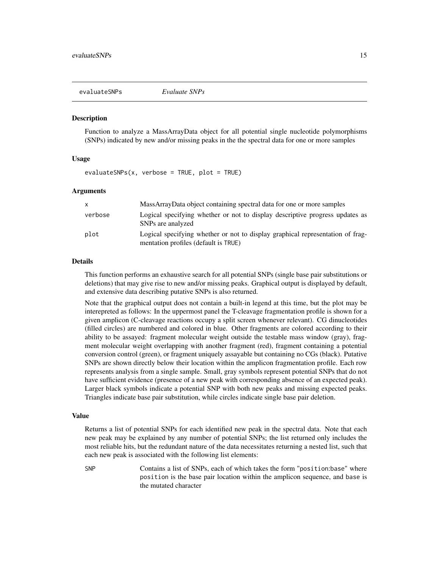<span id="page-14-0"></span>

#### Description

Function to analyze a MassArrayData object for all potential single nucleotide polymorphisms (SNPs) indicated by new and/or missing peaks in the the spectral data for one or more samples

## Usage

 $evaluatesSNPs(x, verbose = TRUE, plot = TRUE)$ 

#### Arguments

| $\mathsf{x}$ | MassArrayData object containing spectral data for one or more samples                                                  |
|--------------|------------------------------------------------------------------------------------------------------------------------|
| verbose      | Logical specifying whether or not to display descriptive progress updates as<br>SNPs are analyzed                      |
| plot         | Logical specifying whether or not to display graphical representation of frag-<br>mentation profiles (default is TRUE) |

#### Details

This function performs an exhaustive search for all potential SNPs (single base pair substitutions or deletions) that may give rise to new and/or missing peaks. Graphical output is displayed by default, and extensive data describing putative SNPs is also returned.

Note that the graphical output does not contain a built-in legend at this time, but the plot may be interepreted as follows: In the uppermost panel the T-cleavage fragmentation profile is shown for a given amplicon (C-cleavage reactions occupy a split screen whenever relevant). CG dinucleotides (filled circles) are numbered and colored in blue. Other fragments are colored according to their ability to be assayed: fragment molecular weight outside the testable mass window (gray), fragment molecular weight overlapping with another fragment (red), fragment containing a potential conversion control (green), or fragment uniquely assayable but containing no CGs (black). Putative SNPs are shown directly below their location within the amplicon fragmentation profile. Each row represents analysis from a single sample. Small, gray symbols represent potential SNPs that do not have sufficient evidence (presence of a new peak with corresponding absence of an expected peak). Larger black symbols indicate a potential SNP with both new peaks and missing expected peaks. Triangles indicate base pair substitution, while circles indicate single base pair deletion.

#### Value

Returns a list of potential SNPs for each identified new peak in the spectral data. Note that each new peak may be explained by any number of potential SNPs; the list returned only includes the most reliable hits, but the redundant nature of the data necessitates returning a nested list, such that each new peak is associated with the following list elements:

SNP Contains a list of SNPs, each of which takes the form "position:base" where position is the base pair location within the amplicon sequence, and base is the mutated character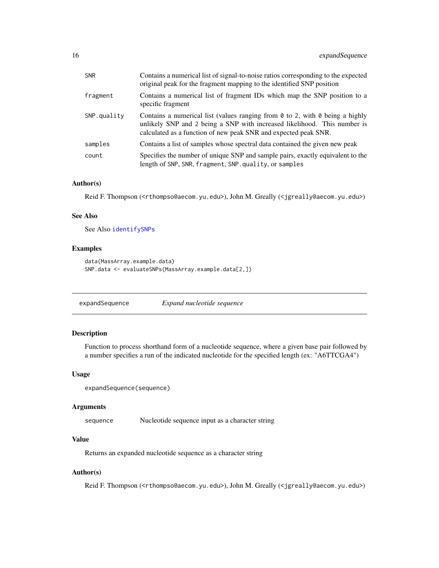<span id="page-15-0"></span>

| <b>SNR</b>  | Contains a numerical list of signal-to-noise ratios corresponding to the expected<br>original peak for the fragment mapping to the identified SNP position                                                                                |
|-------------|-------------------------------------------------------------------------------------------------------------------------------------------------------------------------------------------------------------------------------------------|
| fragment    | Contains a numerical list of fragment IDs which map the SNP position to a<br>specific fragment                                                                                                                                            |
| SNP.quality | Contains a numerical list (values ranging from $\theta$ to 2, with $\theta$ being a highly<br>unlikely SNP and 2 being a SNP with increased likelihood. This number is<br>calculated as a function of new peak SNR and expected peak SNR. |
| samples     | Contains a list of samples whose spectral data contained the given new peak                                                                                                                                                               |
| count       | Specifies the number of unique SNP and sample pairs, exactly equivalent to the<br>length of SNP, SNR, fragment, SNP.quality, or samples                                                                                                   |

#### Author(s)

Reid F. Thompson (<rthompso@aecom.yu.edu>), John M. Greally (<jgreally@aecom.yu.edu>)

#### See Also

See Also [identifySNPs](#page-18-1)

## Examples

```
data(MassArray.example.data)
SNP.data <- evaluateSNPs(MassArray.example.data[2,])
```
expandSequence *Expand nucleotide sequence*

## Description

Function to process shorthand form of a nucleotide sequence, where a given base pair followed by a number specifies a run of the indicated nucleotide for the specified length (ex: "A6TTCGA4")

#### Usage

```
expandSequence(sequence)
```
#### Arguments

sequence Nucleotide sequence input as a character string

## Value

Returns an expanded nucleotide sequence as a character string

## Author(s)

Reid F. Thompson (<rthompso@aecom.yu.edu>), John M. Greally (<jgreally@aecom.yu.edu>)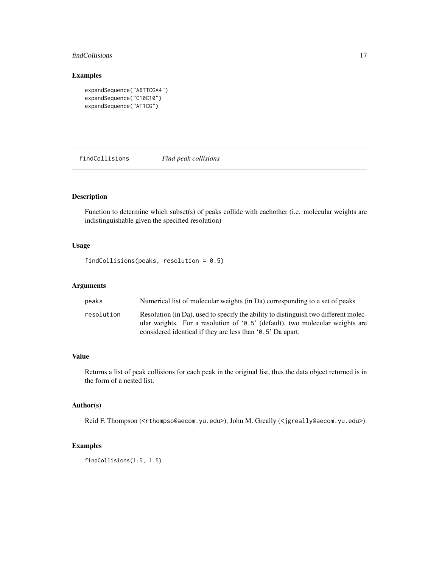## <span id="page-16-0"></span>findCollisions 17

## Examples

```
expandSequence("A6TTCGA4")
expandSequence("C10C10")
expandSequence("AT1CG")
```
findCollisions *Find peak collisions*

## Description

Function to determine which subset(s) of peaks collide with eachother (i.e. molecular weights are indistinguishable given the specified resolution)

## Usage

findCollisions(peaks, resolution = 0.5)

## Arguments

| peaks      | Numerical list of molecular weights (in Da) corresponding to a set of peaks                                                                                                                                                         |
|------------|-------------------------------------------------------------------------------------------------------------------------------------------------------------------------------------------------------------------------------------|
| resolution | Resolution (in Da), used to specify the ability to distinguish two different molec-<br>ular weights. For a resolution of $(0.5)$ (default), two molecular weights are<br>considered identical if they are less than '0.5' Da apart. |

## Value

Returns a list of peak collisions for each peak in the original list, thus the data object returned is in the form of a nested list.

#### Author(s)

Reid F. Thompson (<rthompso@aecom.yu.edu>), John M. Greally (<jgreally@aecom.yu.edu>)

## Examples

findCollisions(1:5, 1.5)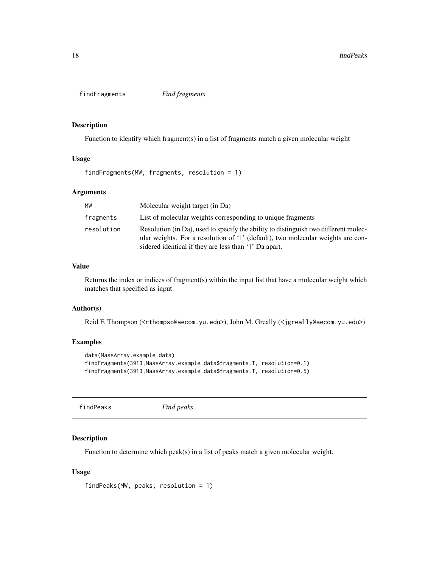<span id="page-17-0"></span>findFragments *Find fragments*

#### Description

Function to identify which fragment(s) in a list of fragments match a given molecular weight

## Usage

findFragments(MW, fragments, resolution = 1)

#### Arguments

| MW         | Molecular weight target (in Da)                                                                                                                                                                                                 |
|------------|---------------------------------------------------------------------------------------------------------------------------------------------------------------------------------------------------------------------------------|
| fragments  | List of molecular weights corresponding to unique fragments                                                                                                                                                                     |
| resolution | Resolution (in Da), used to specify the ability to distinguish two different molec-<br>ular weights. For a resolution of '1' (default), two molecular weights are con-<br>sidered identical if they are less than '1' Da apart. |

#### Value

Returns the index or indices of fragment(s) within the input list that have a molecular weight which matches that specified as input

#### Author(s)

Reid F. Thompson (<rthompso@aecom.yu.edu>), John M. Greally (<jgreally@aecom.yu.edu>)

## Examples

```
data(MassArray.example.data)
findFragments(3913,MassArray.example.data$fragments.T, resolution=0.1)
findFragments(3913,MassArray.example.data$fragments.T, resolution=0.5)
```
findPeaks *Find peaks*

## Description

Function to determine which peak(s) in a list of peaks match a given molecular weight.

#### Usage

findPeaks(MW, peaks, resolution = 1)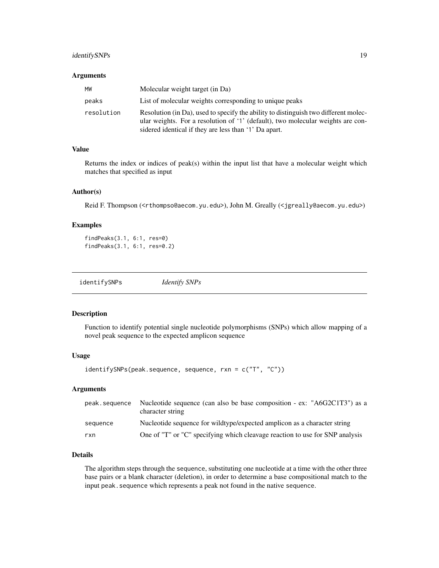## <span id="page-18-0"></span>identifySNPs 19

#### Arguments

| МW         | Molecular weight target (in Da)                                                                                                                                                                                                 |
|------------|---------------------------------------------------------------------------------------------------------------------------------------------------------------------------------------------------------------------------------|
| peaks      | List of molecular weights corresponding to unique peaks                                                                                                                                                                         |
| resolution | Resolution (in Da), used to specify the ability to distinguish two different molec-<br>ular weights. For a resolution of '1' (default), two molecular weights are con-<br>sidered identical if they are less than '1' Da apart. |

## Value

Returns the index or indices of peak(s) within the input list that have a molecular weight which matches that specified as input

#### Author(s)

Reid F. Thompson (<rthompso@aecom.yu.edu>), John M. Greally (<jgreally@aecom.yu.edu>)

## Examples

```
findPeaks(3.1, 6:1, res=0)
findPeaks(3.1, 6:1, res=0.2)
```
<span id="page-18-1"></span>

| identifySNPs | <i>Identify SNPs</i> |
|--------------|----------------------|
|              |                      |

#### Description

Function to identify potential single nucleotide polymorphisms (SNPs) which allow mapping of a novel peak sequence to the expected amplicon sequence

#### Usage

identifySNPs(peak.sequence, sequence, rxn = c("T", "C"))

## Arguments

| peak.sequence | Nucleotide sequence (can also be base composition - ex: "A6G2C1T3") as a<br>character string |
|---------------|----------------------------------------------------------------------------------------------|
| sequence      | Nucleotide sequence for wildtype/expected amplicon as a character string                     |
| rxn           | One of "T" or "C" specifying which cleavage reaction to use for SNP analysis                 |

## Details

The algorithm steps through the sequence, substituting one nucleotide at a time with the other three base pairs or a blank character (deletion), in order to determine a base compositional match to the input peak. sequence which represents a peak not found in the native sequence.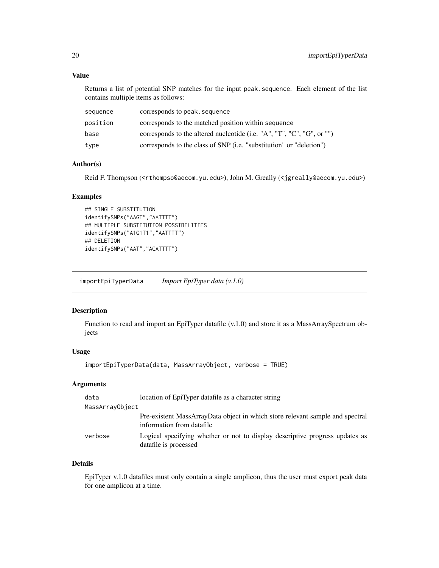## <span id="page-19-0"></span>Value

Returns a list of potential SNP matches for the input peak.sequence. Each element of the list contains multiple items as follows:

| sequence | corresponds to peak, sequence                                               |
|----------|-----------------------------------------------------------------------------|
| position | corresponds to the matched position within sequence                         |
| base     | corresponds to the altered nucleotide (i.e. "A", "T", "C", "G", or "")      |
| type     | corresponds to the class of SNP ( <i>i.e.</i> "substitution" or "deletion") |

## Author(s)

Reid F. Thompson (<rthompso@aecom.yu.edu>), John M. Greally (<jgreally@aecom.yu.edu>)

## Examples

```
## SINGLE SUBSTITUTION
identifySNPs("AAGT","AATTTT")
## MULTIPLE SUBSTITUTION POSSIBILITIES
identifySNPs("A1G1T1","AATTTT")
## DELETION
identifySNPs("AAT","AGATTTT")
```
importEpiTyperData *Import EpiTyper data (v.1.0)*

## Description

Function to read and import an EpiTyper datafile (v.1.0) and store it as a MassArraySpectrum objects

## Usage

```
importEpiTyperData(data, MassArrayObject, verbose = TRUE)
```
## Arguments

| data            | location of EpiTyper datafile as a character string                                                        |
|-----------------|------------------------------------------------------------------------------------------------------------|
| MassArrayObject |                                                                                                            |
|                 | Pre-existent MassArrayData object in which store relevant sample and spectral<br>information from datafile |
| verbose         | Logical specifying whether or not to display descriptive progress updates as<br>datafile is processed      |

#### Details

EpiTyper v.1.0 datafiles must only contain a single amplicon, thus the user must export peak data for one amplicon at a time.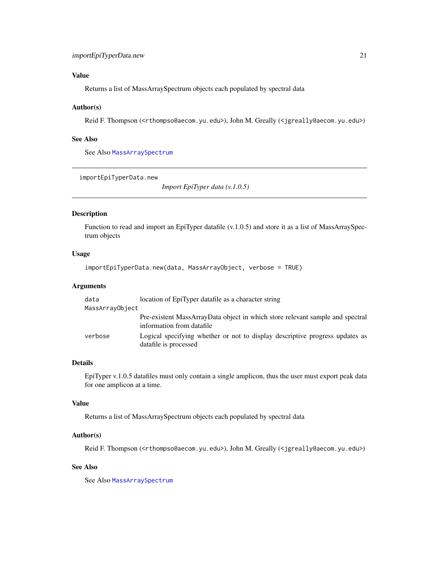## <span id="page-20-0"></span>Value

Returns a list of MassArraySpectrum objects each populated by spectral data

## Author(s)

Reid F. Thompson (<rthompso@aecom.yu.edu>), John M. Greally (<jgreally@aecom.yu.edu>)

## See Also

See Also [MassArraySpectrum](#page-28-1)

```
importEpiTyperData.new
```
*Import EpiTyper data (v.1.0.5)*

## Description

Function to read and import an EpiTyper datafile (v.1.0.5) and store it as a list of MassArraySpectrum objects

#### Usage

```
importEpiTyperData.new(data, MassArrayObject, verbose = TRUE)
```
#### Arguments

| data            | location of EpiTyper datafile as a character string                                                        |
|-----------------|------------------------------------------------------------------------------------------------------------|
| MassArrayObject |                                                                                                            |
|                 | Pre-existent MassArrayData object in which store relevant sample and spectral<br>information from datafile |
| verbose         | Logical specifying whether or not to display descriptive progress updates as<br>datafile is processed      |

## Details

EpiTyper v.1.0.5 datafiles must only contain a single amplicon, thus the user must export peak data for one amplicon at a time.

#### Value

Returns a list of MassArraySpectrum objects each populated by spectral data

#### Author(s)

Reid F. Thompson (<rthompso@aecom.yu.edu>), John M. Greally (<jgreally@aecom.yu.edu>)

## See Also

See Also [MassArraySpectrum](#page-28-1)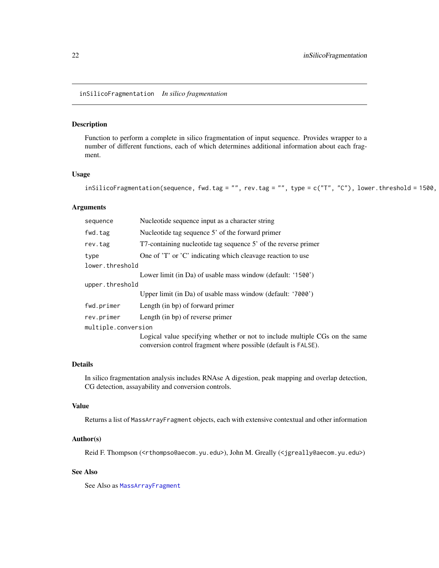<span id="page-21-0"></span>inSilicoFragmentation *In silico fragmentation*

## Description

Function to perform a complete in silico fragmentation of input sequence. Provides wrapper to a number of different functions, each of which determines additional information about each fragment.

## Usage

```
inSilicoFragmentation(sequence, fwd.tag = "", rev.tag = "", type = c("T", "C"), lower.threshold = 1500,
```
## Arguments

| sequence            | Nucleotide sequence input as a character string                                                                                               |  |
|---------------------|-----------------------------------------------------------------------------------------------------------------------------------------------|--|
| fwd.tag             | Nucleotide tag sequence 5' of the forward primer                                                                                              |  |
| rev.tag             | T7-containing nucleotide tag sequence 5' of the reverse primer                                                                                |  |
| type                | One of 'T' or 'C' indicating which cleavage reaction to use                                                                                   |  |
| lower.threshold     |                                                                                                                                               |  |
|                     | Lower limit (in Da) of usable mass window (default: '1500')                                                                                   |  |
| upper.threshold     |                                                                                                                                               |  |
|                     | Upper limit (in Da) of usable mass window (default: '7000')                                                                                   |  |
| fwd.primer          | Length (in bp) of forward primer                                                                                                              |  |
| rev.primer          | Length (in bp) of reverse primer                                                                                                              |  |
| multiple.conversion |                                                                                                                                               |  |
|                     | Logical value specifying whether or not to include multiple CGs on the same<br>conversion control fragment where possible (default is FALSE). |  |

## Details

In silico fragmentation analysis includes RNAse A digestion, peak mapping and overlap detection, CG detection, assayability and conversion controls.

## Value

Returns a list of MassArrayFragment objects, each with extensive contextual and other information

#### Author(s)

Reid F. Thompson (<rthompso@aecom.yu.edu>), John M. Greally (<jgreally@aecom.yu.edu>)

## See Also

See Also as [MassArrayFragment](#page-25-1)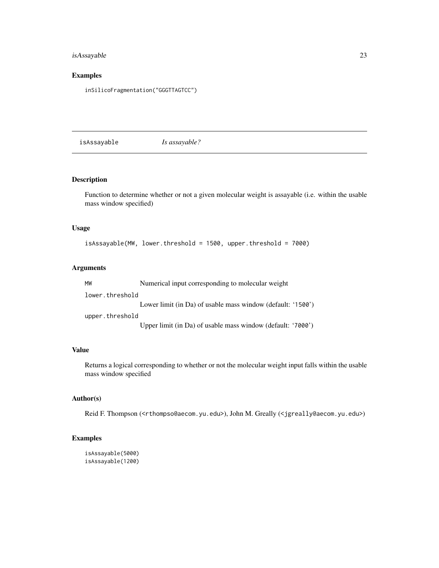## <span id="page-22-0"></span>isAssayable 23

## Examples

inSilicoFragmentation("GGGTTAGTCC")

isAssayable *Is assayable?*

## Description

Function to determine whether or not a given molecular weight is assayable (i.e. within the usable mass window specified)

## Usage

```
isAssayable(MW, lower.threshold = 1500, upper.threshold = 7000)
```
## Arguments

| MW              | Numerical input corresponding to molecular weight           |
|-----------------|-------------------------------------------------------------|
| lower.threshold |                                                             |
|                 | Lower limit (in Da) of usable mass window (default: '1500') |
| upper.threshold |                                                             |
|                 | Upper limit (in Da) of usable mass window (default: '7000') |

#### Value

Returns a logical corresponding to whether or not the molecular weight input falls within the usable mass window specified

## Author(s)

Reid F. Thompson (<rthompso@aecom.yu.edu>), John M. Greally (<jgreally@aecom.yu.edu>)

```
isAssayable(5000)
isAssayable(1200)
```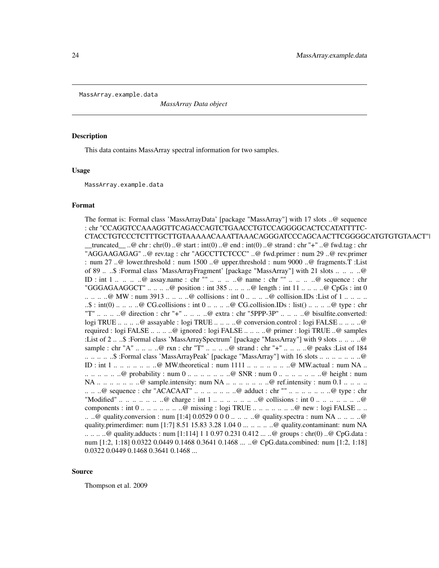<span id="page-23-0"></span>MassArray.example.data

*MassArray Data object*

#### **Description**

This data contains MassArray spectral information for two samples.

#### Usage

MassArray.example.data

## Format

The format is: Formal class 'MassArrayData' [package "MassArray"] with 17 slots ..@ sequence : chr "CCAGGTCCAAAGGTTCAGACCAGTCTGAACCTGTCCAGGGGCACTCCATATTTTC-CTACCTGTCCCTCTTTGCTTGTAAAAACAAATTAAACAGGGATCCCAGCAACTTCGGGGCATGTGTGTAACT"|  $_t$ truncated  $\ldots$  ... @ chr : chr(0) ... @ start : int(0) ... @ end : int(0) ... @ strand : chr "+" ... @ fwd.tag : chr "AGGAAGAGAG" ..@ rev.tag : chr "AGCCTTCTCCC" ..@ fwd.primer : num 29 ..@ rev.primer : num 27 ..@ lower.threshold : num 1500 ..@ upper.threshold : num 9000 ..@ fragments.T :List of 89 .. ..\$ :Formal class 'MassArrayFragment' [package "MassArray"] with 21 slots .. .. .. ..@ ID : int 1 .. .. .. ..@ assay.name : chr "" .. .. .. ..@ name : chr "" .. .. .. ..@ sequence : chr "GGGAGAAGGCT"  $\ldots \ldots \ldots$   $\heartsuit$  position : int 385  $\ldots \ldots \ldots \heartsuit$  length : int 11  $\ldots \ldots \ldots \heartsuit$  CpGs : int 0  $\ldots \ldots \ldots \otimes \text{MW}$ : num 3913  $\ldots \ldots \ldots \otimes \text{collisions}$ : int  $0 \ldots \ldots \ldots \otimes \text{collision.IDs}$ : List of  $1 \ldots \ldots \ldots$  $\mathcal{L}$ : int(0) ... .. .. ..@ CG.collisions : int 0 ... .. ... ..@ CG.collision.IDs : list() ... .. ... ..@ type : chr "T" .. .. .. ..@ direction : chr "+" .. .. .. ..@ extra : chr "5PPP-3P" .. .. .. ..@ bisulfite.converted: logi TRUE .. .. .. ..@ assayable : logi TRUE .. .. .. ..@ conversion.control : logi FALSE .. .. .. ..@ required : logi FALSE .. .. .. ..@ ignored : logi FALSE .. .. .. ..@ primer : logi TRUE ..@ samples :List of 2 .. ..\$ :Formal class 'MassArraySpectrum' [package "MassArray"] with 9 slots .. .. .. ..@ sample : chr "A" .. .. .. ..@ rxn : chr "T" .. .. .. ..@ strand : chr "+" .. .. .. ..@ peaks :List of 184 .. .. .. .. ..\$ :Formal class 'MassArrayPeak' [package "MassArray"] with 16 slots .. .. .. .. .. .. ..@ ID : int  $1 \ldots \ldots \ldots \ldots \ldots \ldots \otimes \text{MW}.$  theoretical : num  $1111 \ldots \ldots \ldots \ldots \ldots \ldots \otimes \text{MW}.$  actual : num NA ...  $\ldots \ldots \ldots \ldots$  probability : num  $0 \ldots \ldots \ldots \ldots \ldots \otimes \text{SNR}$  : num  $0 \ldots \ldots \ldots \ldots \ldots \ldots \otimes \text{height}$  : num NA .. .. .. .. .. ..@ sample.intensity: num NA .. .. .. .. .. .. .@ ref.intensity : num 0.1 .. .. .. .. .. .. ..@ sequence : chr "ACACAAT" .. .. .. .. .. .. ..@ adduct : chr "" .. .. .. .. .. .. ..@ type : chr "Modified"  $\ldots \ldots \ldots \ldots \ldots \ldots \otimes$  charge : int 1  $\ldots \ldots \ldots \ldots \ldots \ldots \otimes$  collisions : int 0  $\ldots \ldots \ldots \ldots \ldots \ldots \otimes$ components : int  $0 \ldots \ldots \ldots \ldots \ldots \mathbb{Q}$  missing : logi TRUE  $\ldots \ldots \ldots \ldots \ldots \mathbb{Q}$  new : logi FALSE  $\ldots \ldots$ .. ..@ quality.conversion : num [1:4] 0.0529 0 0 0 .. .. ... ..@ quality.spectra : num NA .. .. ... ..@ quality.primerdimer: num [1:7] 8.51 15.83 3.28 1.04 0 ... .. .. .. ..@ quality.contaminant: num NA .. .. .. ..@ quality.adducts : num [1:114] 1 1 0.97 0.231 0.412 ... ..@ groups : chr(0) ..@ CpG.data : num [1:2, 1:18] 0.0322 0.0449 0.1468 0.3641 0.1468 ... ..@ CpG.data.combined: num [1:2, 1:18] 0.0322 0.0449 0.1468 0.3641 0.1468 ...

#### Source

Thompson et al. 2009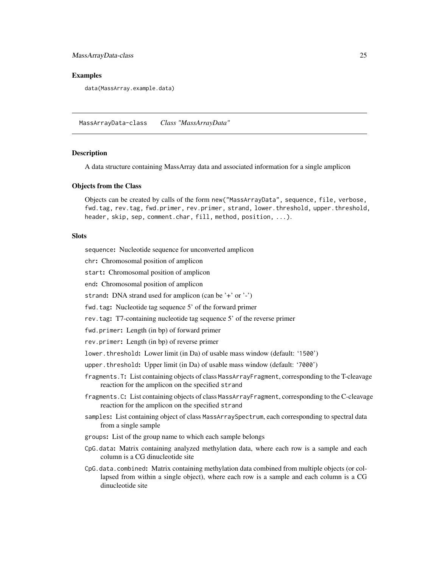#### <span id="page-24-0"></span>MassArrayData-class 25

## Examples

data(MassArray.example.data)

<span id="page-24-1"></span>MassArrayData-class *Class "MassArrayData"*

#### Description

A data structure containing MassArray data and associated information for a single amplicon

#### Objects from the Class

Objects can be created by calls of the form new("MassArrayData", sequence, file, verbose, fwd.tag, rev.tag, fwd.primer, rev.primer, strand, lower.threshold, upper.threshold, header, skip, sep, comment.char, fill, method, position, ...).

## Slots

sequence: Nucleotide sequence for unconverted amplicon

chr: Chromosomal position of amplicon

start: Chromosomal position of amplicon

end: Chromosomal position of amplicon

strand: DNA strand used for amplicon (can be '+' or '-')

fwd.tag: Nucleotide tag sequence 5' of the forward primer

rev.tag: T7-containing nucleotide tag sequence 5' of the reverse primer

fwd.primer: Length (in bp) of forward primer

rev.primer: Length (in bp) of reverse primer

lower.threshold: Lower limit (in Da) of usable mass window (default: '1500')

upper.threshold: Upper limit (in Da) of usable mass window (default: '7000')

- fragments.T: List containing objects of class MassArrayFragment, corresponding to the T-cleavage reaction for the amplicon on the specified strand
- fragments.C: List containing objects of class MassArrayFragment, corresponding to the C-cleavage reaction for the amplicon on the specified strand
- samples: List containing object of class MassArraySpectrum, each corresponding to spectral data from a single sample
- groups: List of the group name to which each sample belongs
- CpG.data: Matrix containing analyzed methylation data, where each row is a sample and each column is a CG dinucleotide site
- CpG.data.combined: Matrix containing methylation data combined from multiple objects (or collapsed from within a single object), where each row is a sample and each column is a CG dinucleotide site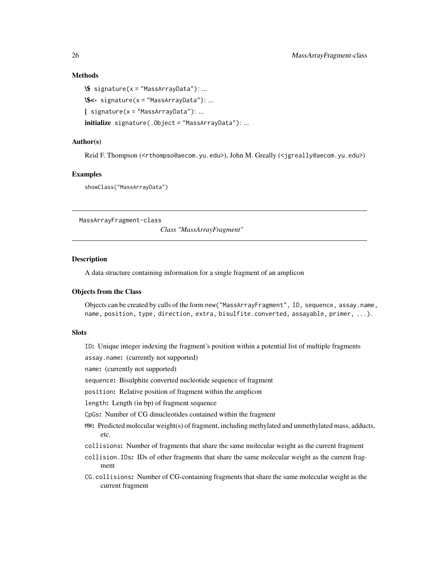## Methods

```
\$ signature(x = "MassArrayData"): ...
\$<- signature(x = "MassArrayData"): ...
[ signature(x = "MassArrayData"): ...
initialize signature(.Object = "MassArrayData"): ...
```
## Author(s)

Reid F. Thompson (<rthompso@aecom.yu.edu>), John M. Greally (<jgreally@aecom.yu.edu>)

## Examples

showClass("MassArrayData")

<span id="page-25-1"></span>MassArrayFragment-class

*Class "MassArrayFragment"*

#### Description

A data structure containing information for a single fragment of an amplicon

## Objects from the Class

Objects can be created by calls of the form new("MassArrayFragment", ID, sequence, assay.name, name, position, type, direction, extra, bisulfite.converted, assayable, primer, ...).

## **Slots**

ID: Unique integer indexing the fragment's position within a potential list of multiple fragments

assay.name: (currently not supported)

name: (currently not supported)

sequence: Bisulphite converted nucleotide sequence of fragment

position: Relative position of fragment within the amplicon

length: Length (in bp) of fragment sequence

CpGs: Number of CG dinucleotides contained within the fragment

- MW: Predicted molecular weight(s) of fragment, including methylated and unmethylated mass, adducts, etc.
- collisions: Number of fragments that share the same molecular weight as the current fragment
- collision.IDs: IDs of other fragments that share the same molecular weight as the current fragment
- CG.collisions: Number of CG-containing fragments that share the same molecular weight as the current fragment

<span id="page-25-0"></span>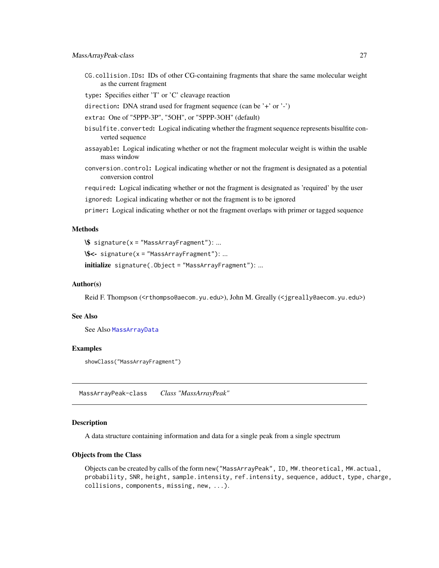<span id="page-26-0"></span>CG.collision.IDs: IDs of other CG-containing fragments that share the same molecular weight as the current fragment

type: Specifies either 'T' or 'C' cleavage reaction

- direction: DNA strand used for fragment sequence (can be '+' or '-')
- extra: One of "5PPP-3P", "5OH", or "5PPP-3OH" (default)
- bisulfite.converted: Logical indicating whether the fragment sequence represents bisulfite converted sequence
- assayable: Logical indicating whether or not the fragment molecular weight is within the usable mass window
- conversion.control: Logical indicating whether or not the fragment is designated as a potential conversion control

required: Logical indicating whether or not the fragment is designated as 'required' by the user ignored: Logical indicating whether or not the fragment is to be ignored

primer: Logical indicating whether or not the fragment overlaps with primer or tagged sequence

## Methods

\\$ signature(x = "MassArrayFragment"): ...

```
\$<- signature(x = "MassArrayFragment"): ...
```
initialize signature(.Object = "MassArrayFragment"): ...

## Author(s)

Reid F. Thompson (<rthompso@aecom.yu.edu>), John M. Greally (<jgreally@aecom.yu.edu>)

## See Also

See Also [MassArrayData](#page-24-1)

#### Examples

showClass("MassArrayFragment")

<span id="page-26-1"></span>MassArrayPeak-class *Class "MassArrayPeak"*

#### Description

A data structure containing information and data for a single peak from a single spectrum

### Objects from the Class

Objects can be created by calls of the form new("MassArrayPeak", ID, MW.theoretical, MW.actual, probability, SNR, height, sample.intensity, ref.intensity, sequence, adduct, type, charge, collisions, components, missing, new, ...).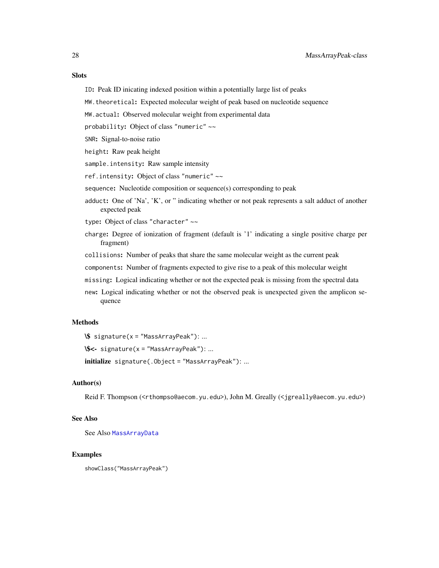## **Slots**

- ID: Peak ID inicating indexed position within a potentially large list of peaks
- MW.theoretical: Expected molecular weight of peak based on nucleotide sequence
- MW.actual: Observed molecular weight from experimental data
- probability: Object of class "numeric" ~~
- SNR: Signal-to-noise ratio
- height: Raw peak height
- sample.intensity: Raw sample intensity
- ref.intensity: Object of class "numeric" ~~
- sequence: Nucleotide composition or sequence(s) corresponding to peak
- adduct: One of 'Na', 'K', or " indicating whether or not peak represents a salt adduct of another expected peak
- type: Object of class "character" ~~
- charge: Degree of ionization of fragment (default is '1' indicating a single positive charge per fragment)
- collisions: Number of peaks that share the same molecular weight as the current peak
- components: Number of fragments expected to give rise to a peak of this molecular weight
- missing: Logical indicating whether or not the expected peak is missing from the spectral data
- new: Logical indicating whether or not the observed peak is unexpected given the amplicon sequence

## Methods

\\$ signature(x = "MassArrayPeak"): ...

\\$<- signature(x = "MassArrayPeak"): ...

initialize signature(.Object = "MassArrayPeak"): ...

## Author(s)

Reid F. Thompson (<rthompso@aecom.yu.edu>), John M. Greally (<jgreally@aecom.yu.edu>)

## See Also

See Also [MassArrayData](#page-24-1)

#### Examples

showClass("MassArrayPeak")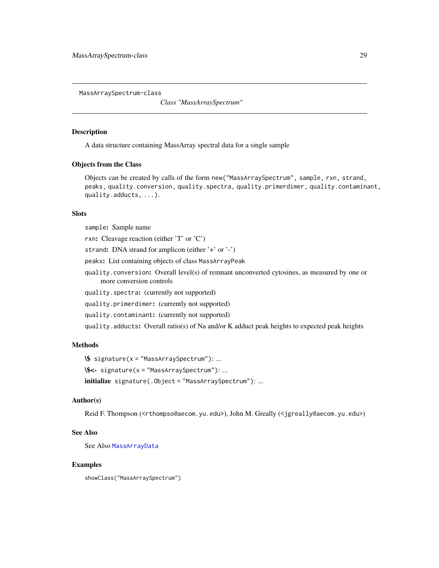<span id="page-28-1"></span><span id="page-28-0"></span>MassArraySpectrum-class

*Class "MassArraySpectrum"*

## Description

A data structure containing MassArray spectral data for a single sample

#### Objects from the Class

Objects can be created by calls of the form new("MassArraySpectrum", sample, rxn, strand, peaks, quality.conversion, quality.spectra, quality.primerdimer, quality.contaminant, quality.adducts, ...).

#### Slots

sample: Sample name

rxn: Cleavage reaction (either 'T' or 'C')

strand: DNA strand for amplicon (either '+' or '-')

peaks: List containing objects of class MassArrayPeak

quality.conversion: Overall level(s) of remnant unconverted cytosines, as measured by one or more conversion controls

quality.spectra: (currently not supported)

quality.primerdimer: (currently not supported)

quality.contaminant: (currently not supported)

quality.adducts: Overall ratio(s) of Na and/or K adduct peak heights to expected peak heights

## **Methods**

```
\$ signature(x = "MassArraySpectrum"): ...
\$<- signature(x = "MassArraySpectrum"): ...
initialize signature(.Object = "MassArraySpectrum"): ...
```
## Author(s)

Reid F. Thompson (<rthompso@aecom.yu.edu>), John M. Greally (<jgreally@aecom.yu.edu>)

## See Also

See Also [MassArrayData](#page-24-1)

## Examples

showClass("MassArraySpectrum")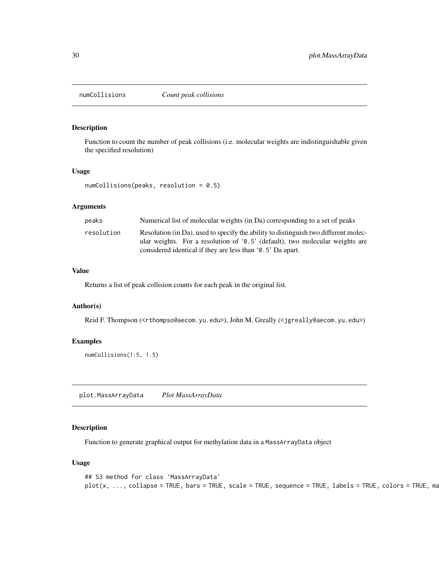<span id="page-29-0"></span>

## Description

Function to count the number of peak collisions (i.e. molecular weights are indistinguishable given the specified resolution)

#### Usage

numCollisions(peaks, resolution = 0.5)

### Arguments

| peaks      | Numerical list of molecular weights (in Da) corresponding to a set of peaks                                                                                           |
|------------|-----------------------------------------------------------------------------------------------------------------------------------------------------------------------|
| resolution | Resolution (in Da), used to specify the ability to distinguish two different molec-<br>ular weights. For a resolution of $(0.5)$ (default), two molecular weights are |
|            | considered identical if they are less than '0.5' Da apart.                                                                                                            |

## Value

Returns a list of peak collision counts for each peak in the original list.

## Author(s)

Reid F. Thompson (<rthompso@aecom.yu.edu>), John M. Greally (<jgreally@aecom.yu.edu>)

## Examples

numCollisions(1:5, 1.5)

plot.MassArrayData *Plot MassArrayData*

## Description

Function to generate graphical output for methylation data in a MassArrayData object

#### Usage

```
## S3 method for class 'MassArrayData'
plot(x, ..., collapse = TRUE, bars = TRUE, scale = TRUE, sequence = TRUE, labels = TRUE, colors = TRUE, mz
```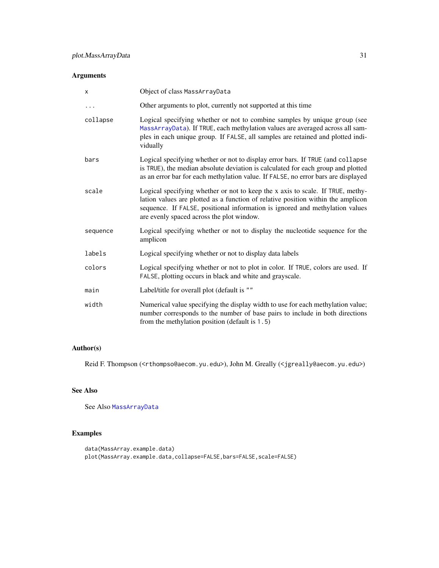## <span id="page-30-0"></span>Arguments

| X        | Object of class MassArrayData                                                                                                                                                                                                                                                                   |
|----------|-------------------------------------------------------------------------------------------------------------------------------------------------------------------------------------------------------------------------------------------------------------------------------------------------|
| $\cdots$ | Other arguments to plot, currently not supported at this time                                                                                                                                                                                                                                   |
| collapse | Logical specifying whether or not to combine samples by unique group (see<br>MassArrayData). If TRUE, each methylation values are averaged across all sam-<br>ples in each unique group. If FALSE, all samples are retained and plotted indi-<br>vidually                                       |
| bars     | Logical specifying whether or not to display error bars. If TRUE (and collapse<br>is TRUE), the median absolute deviation is calculated for each group and plotted<br>as an error bar for each methylation value. If FALSE, no error bars are displayed                                         |
| scale    | Logical specifying whether or not to keep the x axis to scale. If TRUE, methy-<br>lation values are plotted as a function of relative position within the amplicon<br>sequence. If FALSE, positional information is ignored and methylation values<br>are evenly spaced across the plot window. |
| sequence | Logical specifying whether or not to display the nucleotide sequence for the<br>amplicon                                                                                                                                                                                                        |
| labels   | Logical specifying whether or not to display data labels                                                                                                                                                                                                                                        |
| colors   | Logical specifying whether or not to plot in color. If TRUE, colors are used. If<br>FALSE, plotting occurs in black and white and grayscale.                                                                                                                                                    |
| main     | Label/title for overall plot (default is ""                                                                                                                                                                                                                                                     |
| width    | Numerical value specifying the display width to use for each methylation value;<br>number corresponds to the number of base pairs to include in both directions<br>from the methylation position (default is 1.5)                                                                               |

## Author(s)

Reid F. Thompson (<rthompso@aecom.yu.edu>), John M. Greally (<jgreally@aecom.yu.edu>)

## See Also

See Also [MassArrayData](#page-24-1)

```
data(MassArray.example.data)
plot(MassArray.example.data,collapse=FALSE,bars=FALSE,scale=FALSE)
```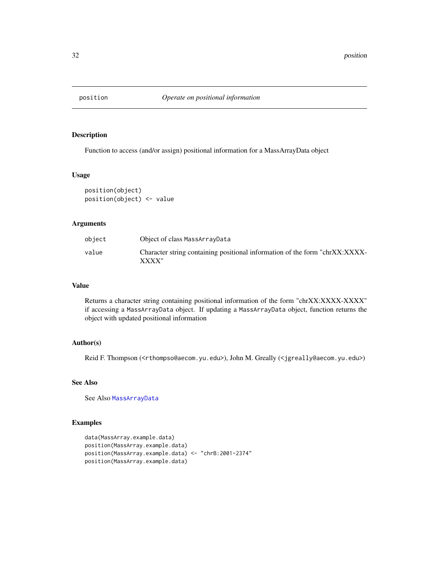<span id="page-31-1"></span><span id="page-31-0"></span>

## Description

Function to access (and/or assign) positional information for a MassArrayData object

## Usage

position(object) position(object) <- value

#### Arguments

| object | Object of class MassArrayData                                                        |
|--------|--------------------------------------------------------------------------------------|
| value  | Character string containing positional information of the form "chrXX:XXXX-<br>XXXX" |

## Value

Returns a character string containing positional information of the form "chrXX:XXXX-XXXX" if accessing a MassArrayData object. If updating a MassArrayData object, function returns the object with updated positional information

## Author(s)

Reid F. Thompson (<rthompso@aecom.yu.edu>), John M. Greally (<jgreally@aecom.yu.edu>)

## See Also

See Also [MassArrayData](#page-24-1)

```
data(MassArray.example.data)
position(MassArray.example.data)
position(MassArray.example.data) <- "chrB:2001-2374"
position(MassArray.example.data)
```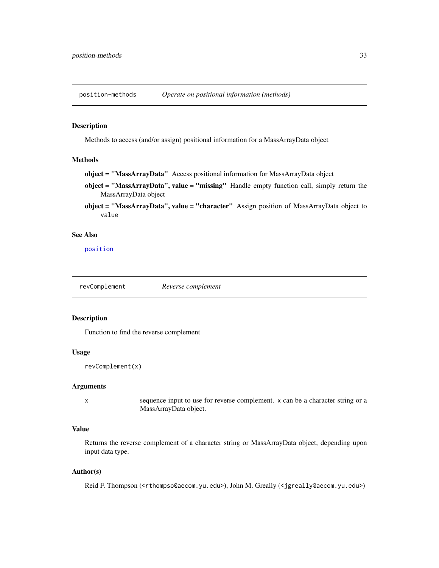<span id="page-32-0"></span>position-methods *Operate on positional information (methods)*

## Description

Methods to access (and/or assign) positional information for a MassArrayData object

## Methods

```
object = "MassArrayData" Access positional information for MassArrayData object
```
- object = "MassArrayData", value = "missing" Handle empty function call, simply return the MassArrayData object
- object = "MassArrayData", value = "character" Assign position of MassArrayData object to value

## See Also

[position](#page-31-1)

<span id="page-32-1"></span>revComplement *Reverse complement*

#### Description

Function to find the reverse complement

## Usage

```
revComplement(x)
```
## Arguments

x sequence input to use for reverse complement. x can be a character string or a MassArrayData object.

## Value

Returns the reverse complement of a character string or MassArrayData object, depending upon input data type.

#### Author(s)

Reid F. Thompson (<rthompso@aecom.yu.edu>), John M. Greally (<jgreally@aecom.yu.edu>)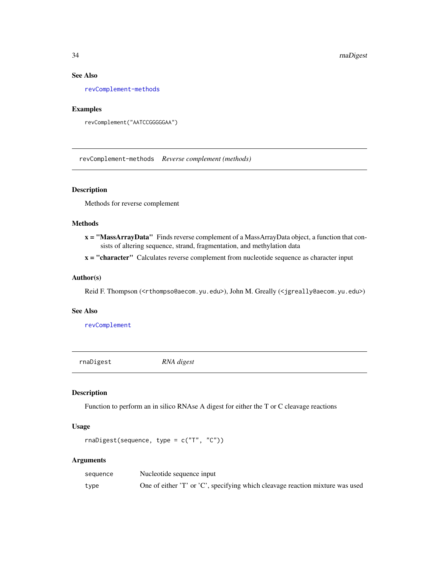## See Also

[revComplement-methods](#page-33-1)

## Examples

```
revComplement("AATCCGGGGGAA")
```
<span id="page-33-1"></span>revComplement-methods *Reverse complement (methods)*

## Description

Methods for reverse complement

#### Methods

x = "MassArrayData" Finds reverse complement of a MassArrayData object, a function that consists of altering sequence, strand, fragmentation, and methylation data

 $x =$  "character" Calculates reverse complement from nucleotide sequence as character input

## Author(s)

Reid F. Thompson (<rthompso@aecom.yu.edu>), John M. Greally (<jgreally@aecom.yu.edu>)

#### See Also

[revComplement](#page-32-1)

rnaDigest *RNA digest*

#### Description

Function to perform an in silico RNAse A digest for either the T or C cleavage reactions

## Usage

```
rnaDigest(sequence, type = c("T", "C"))
```
#### Arguments

| sequence | Nucleotide sequence input                                                     |
|----------|-------------------------------------------------------------------------------|
| type     | One of either 'T' or 'C', specifying which cleavage reaction mixture was used |

<span id="page-33-0"></span>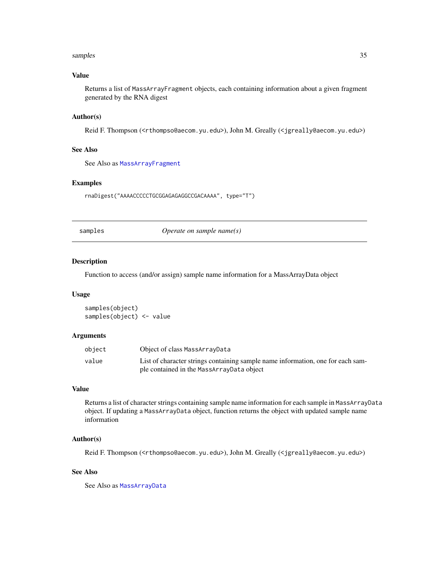#### <span id="page-34-0"></span>samples 35

## Value

Returns a list of MassArrayFragment objects, each containing information about a given fragment generated by the RNA digest

## Author(s)

Reid F. Thompson (<rthompso@aecom.yu.edu>), John M. Greally (<jgreally@aecom.yu.edu>)

## See Also

See Also as [MassArrayFragment](#page-25-1)

#### Examples

rnaDigest("AAAACCCCCTGCGGAGAGAGGCCGACAAAA", type="T")

<span id="page-34-1"></span>samples *Operate on sample name(s)*

#### Description

Function to access (and/or assign) sample name information for a MassArrayData object

## Usage

samples(object) samples(object) <- value

#### Arguments

| object | Object of class MassArrayData                                                   |
|--------|---------------------------------------------------------------------------------|
| value  | List of character strings containing sample name information, one for each sam- |
|        | ple contained in the MassArrayData object                                       |

## Value

Returns a list of character strings containing sample name information for each sample in MassArrayData object. If updating a MassArrayData object, function returns the object with updated sample name information

## Author(s)

Reid F. Thompson (<rthompso@aecom.yu.edu>), John M. Greally (<jgreally@aecom.yu.edu>)

## See Also

See Also as [MassArrayData](#page-24-1)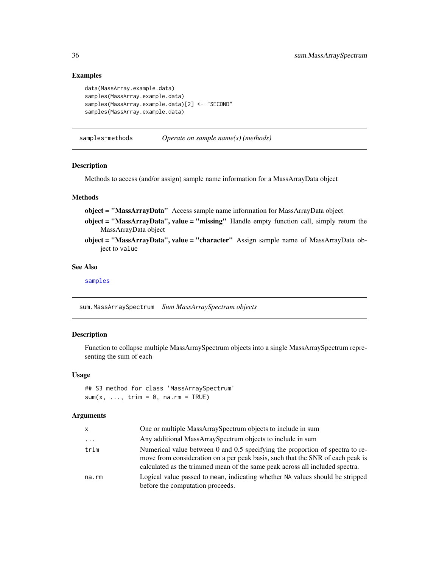## Examples

```
data(MassArray.example.data)
samples(MassArray.example.data)
samples(MassArray.example.data)[2] <- "SECOND"
samples(MassArray.example.data)
```
samples-methods *Operate on sample name(s) (methods)*

## Description

Methods to access (and/or assign) sample name information for a MassArrayData object

## Methods

object = "MassArrayData" Access sample name information for MassArrayData object

- object = "MassArrayData", value = "missing" Handle empty function call, simply return the MassArrayData object
- object = "MassArrayData", value = "character" Assign sample name of MassArrayData object to value

#### See Also

[samples](#page-34-1)

sum.MassArraySpectrum *Sum MassArraySpectrum objects*

## Description

Function to collapse multiple MassArraySpectrum objects into a single MassArraySpectrum representing the sum of each

#### Usage

## S3 method for class 'MassArraySpectrum'  $sum(x, ..., trim = 0, na.rm = TRUE)$ 

#### Arguments

| x     | One or multiple MassArraySpectrum objects to include in sum                                                                                                                                                                                     |
|-------|-------------------------------------------------------------------------------------------------------------------------------------------------------------------------------------------------------------------------------------------------|
| .     | Any additional MassArraySpectrum objects to include in sum                                                                                                                                                                                      |
| trim  | Numerical value between 0 and 0.5 specifying the proportion of spectra to re-<br>move from consideration on a per peak basis, such that the SNR of each peak is<br>calculated as the trimmed mean of the same peak across all included spectra. |
| na.rm | Logical value passed to mean, indicating whether NA values should be stripped<br>before the computation proceeds.                                                                                                                               |

<span id="page-35-0"></span>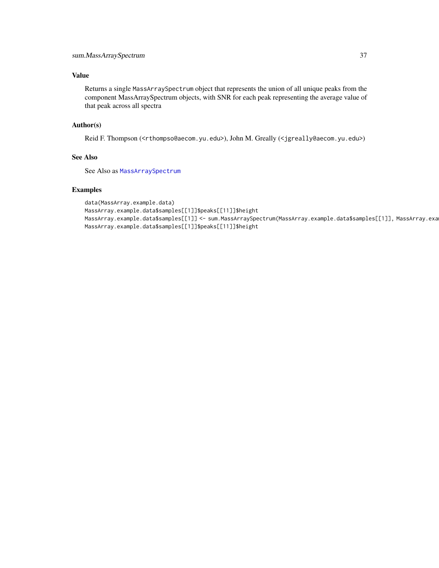## <span id="page-36-0"></span>Value

Returns a single MassArraySpectrum object that represents the union of all unique peaks from the component MassArraySpectrum objects, with SNR for each peak representing the average value of that peak across all spectra

## Author(s)

Reid F. Thompson (<rthompso@aecom.yu.edu>), John M. Greally (<jgreally@aecom.yu.edu>)

## See Also

See Also as [MassArraySpectrum](#page-28-1)

```
data(MassArray.example.data)
MassArray.example.data$samples[[1]]$peaks[[11]]$height
MassArray.example.data$samples[[1]] <- sum.MassArraySpectrum(MassArray.example.data$samples[[1]], MassArray.example.data$samples[[2]])
MassArray.example.data$samples[[1]]$peaks[[11]]$height
```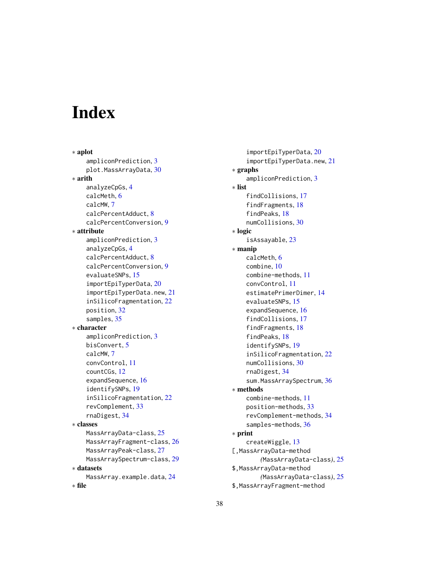# <span id="page-37-0"></span>**Index**

∗ aplot ampliconPrediction, [3](#page-2-0) plot.MassArrayData, [30](#page-29-0) ∗ arith analyzeCpGs, [4](#page-3-0) calcMeth, [6](#page-5-0) calcMW, [7](#page-6-0) calcPercentAdduct, [8](#page-7-0) calcPercentConversion, [9](#page-8-0) ∗ attribute ampliconPrediction, [3](#page-2-0) analyzeCpGs, [4](#page-3-0) calcPercentAdduct, [8](#page-7-0) calcPercentConversion, [9](#page-8-0) evaluateSNPs, [15](#page-14-0) importEpiTyperData, [20](#page-19-0) importEpiTyperData.new, [21](#page-20-0) inSilicoFragmentation, [22](#page-21-0) position, [32](#page-31-0) samples, [35](#page-34-0) ∗ character ampliconPrediction, [3](#page-2-0) bisConvert, [5](#page-4-0) calcMW, [7](#page-6-0) convControl, [11](#page-10-0) countCGs, [12](#page-11-0) expandSequence, [16](#page-15-0) identifySNPs, [19](#page-18-0) inSilicoFragmentation, [22](#page-21-0) revComplement, [33](#page-32-0) rnaDigest, [34](#page-33-0) ∗ classes MassArrayData-class, [25](#page-24-0) MassArrayFragment-class, [26](#page-25-0) MassArrayPeak-class, [27](#page-26-0) MassArraySpectrum-class, [29](#page-28-0) ∗ datasets MassArray.example.data, [24](#page-23-0) ∗ file

importEpiTyperData, [20](#page-19-0) importEpiTyperData.new, [21](#page-20-0) ∗ graphs ampliconPrediction, [3](#page-2-0) ∗ list findCollisions, [17](#page-16-0) findFragments, [18](#page-17-0) findPeaks, [18](#page-17-0) numCollisions, [30](#page-29-0) ∗ logic isAssayable, [23](#page-22-0) ∗ manip calcMeth, [6](#page-5-0) combine, [10](#page-9-0) combine-methods, [11](#page-10-0) convControl, [11](#page-10-0) estimatePrimerDimer, [14](#page-13-0) evaluateSNPs, [15](#page-14-0) expandSequence, [16](#page-15-0) findCollisions, [17](#page-16-0) findFragments, [18](#page-17-0) findPeaks, [18](#page-17-0) identifySNPs, [19](#page-18-0) inSilicoFragmentation, [22](#page-21-0) numCollisions, [30](#page-29-0) rnaDigest, [34](#page-33-0) sum.MassArraySpectrum, [36](#page-35-0) ∗ methods combine-methods, [11](#page-10-0) position-methods, [33](#page-32-0) revComplement-methods, [34](#page-33-0) samples-methods, [36](#page-35-0) ∗ print createWiggle, [13](#page-12-0) [,MassArrayData-method *(*MassArrayData-class*)*, [25](#page-24-0) \$,MassArrayData-method *(*MassArrayData-class*)*, [25](#page-24-0) \$,MassArrayFragment-method